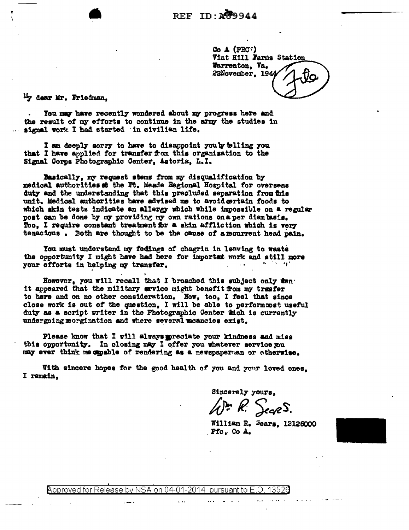$Co \triangle (PRO')$ Vint Hill Farms Station Warrenton, Va. 22November, 194

<sup>Li</sup>y dear Mr. Friedman,

You may have recently wondered about my progress here and the result of my efforts to continue in the army the studies in signal work I had started in civilian life.

I am deeply sorry to have to disappoint youly telling you that I have applied for transfer from this organization to the Signal Corps Photographic Center, Astoria, L.I.

Basically, my request stems from my disqualification by medical authorities at the Ft. Meade Regional Hospital for overseas duty and the understanding that this precluded separation from this unit. Medical authorities have advised me to avoid certain foods to which skin tests indicate an allergy which while impossible on a regular post can be done by my providing my own rations on a per diembasis. Too. I require constant treatment for a skin affliction which is very tenacious. Both are thought to be the cause of a mourrent head pain.

You must understand my fedings of chagrin in leaving to waste the opportunity I might have had here for important work and still more your efforts in helping my transfer.

However, you will recall that I broached this subject only ten. it appeared that the military arvice might benefit from my trasfer to here and on no other consideration. Now, too, I feel that since close work is out of the question, I will be able to perform met useful duty as a script writer in the Photographic Center inch is currently undergoing morgination and where several moancies exist.

Please know that I will always preciate your kindness and miss this opportunity. In closing may I offer you whatever service you may ever think me capable of rendering as a newspaperman or otherwise.

With sincere hopes for the good health of you and your loved ones, I remain.

Sincerely yours.

{P= R: SecreS.

William R. Sears, 12126000 Pfc, Co A.

Approved for Release by NSA on 04-01-2014 inursuant to H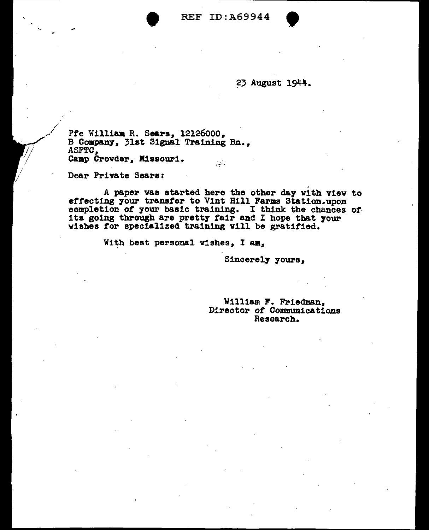

23 August 1944.

Pfc William R. Sears, 12126000, B Company, 31st Signal Training Bn.. ASFTC. Camp Crowder, Missouri. pine

Dear Private Sears:

A paper was started here the other day with view to effecting your transfer to Vint Hill Farms Station.upon completion of your basic training. I think the chances of its going through are pretty fair and I hope that your wishes for specialized training will be gratified.

With best personal wishes, I am,

Sincerely yours,

William F. Friedman. Director of Communications Research.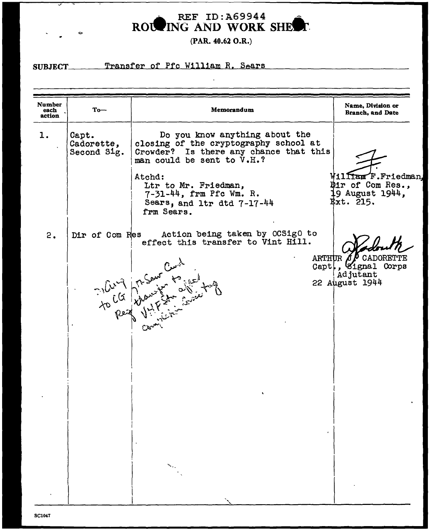ROUNG AND WORK SHEET

(PAR. 40.62 O.R.)

## SUBJECT\_

 $\sim$ 

Transfer of Pfc William R. Sears

| Number<br>each<br>action | $To-$                              | Memorandum                                                                                                                                      | Name, Division or<br><b>Branch, and Date</b>                                     |
|--------------------------|------------------------------------|-------------------------------------------------------------------------------------------------------------------------------------------------|----------------------------------------------------------------------------------|
| 1.                       | Capt.<br>Cadorette,<br>Second Sig. | Do you know anything about the<br>closing of the cryptography school at<br>Crowder? Is there any chance that this<br>man could be sent to V.H.? |                                                                                  |
|                          |                                    | Atchd:<br>Ltr to Mr. Friedman,<br>7-31-44, frm Pfc Wm. R.<br>Sears, and ltr dtd 7-17-44<br>frm Sears.                                           | William F.Friedman,<br>Dir of Com Res.,<br>9 August 1944,<br>Ext. 215.           |
| 2.                       | Dir of Com Res                     | Action being taken by OCSigO to<br>effect this transfer to Vint Hill.                                                                           |                                                                                  |
|                          |                                    | To be of the first form of the                                                                                                                  | ARTHUR $\Lambda P$ CADORETTE<br>Capt, Signal Corps<br>Adjutant<br>22 August 1944 |
|                          |                                    |                                                                                                                                                 |                                                                                  |
|                          |                                    |                                                                                                                                                 |                                                                                  |
|                          |                                    |                                                                                                                                                 |                                                                                  |
|                          |                                    |                                                                                                                                                 |                                                                                  |
|                          |                                    |                                                                                                                                                 |                                                                                  |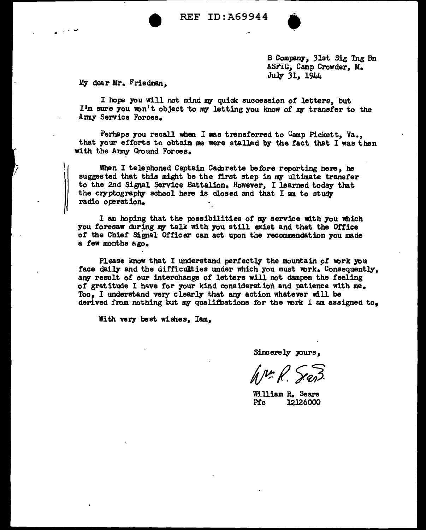REF ID:A69944



B Company, 31st Sig Tng Bn ASFTO, Camp Crowder, M. July 31, 1944

My dear Mr. Friedman,

I hope you will not mind my quick succession of letters, but  $I<sup>i</sup>m$  sure you won't object to my letting you know of my transfer to the Army Service Forces.

Perhaps you recall when I was transferred to  $G$ amp Pickett, Va., that your efforts to obtain me were stalled by the fact that I was then with the Army Ground Forces.

When I telephoned Captain Cade rette before reporting here, he suggested that this might be the first step in my ultimate transfer to the 2nd Signal Service Battalion. However, I learned today that the cryptography school here is closed and that I am to study radio operation.

I am hoping that the possibilities of my service with you which you foresaw during my talk with you still exist and that the Office of the Chief Signal Officer can act upon the recommendation you made a few months ago.

Please know that I understand perfectly the mountain of work you face daily and the difficulties under which you must work. Consequently. any result of our interchange of letters will not dampen the feeling of gratitude I have for your kind consideration and patience with me. Too. I understand very clearly that any action whatever will be derived from nothing but my qualifications for the work I am assigned to.

With very best wishes, Iam.

Sincerely yours,

William R. Sears<br>Pfc 12126000 12126000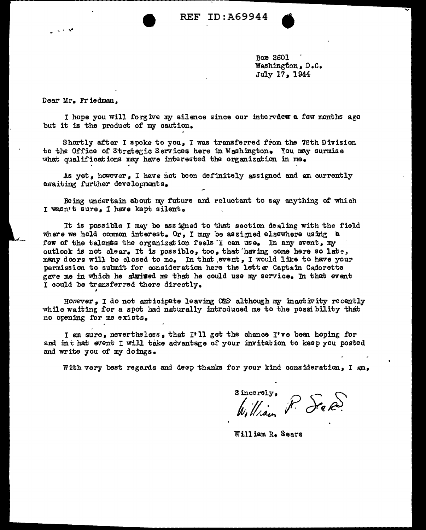ID:A69944 REF

> Box 2601 Washington, D.C. July 17, 1944

Dear Mr. Friedman,

I hope you will forgive my silence since our interview a few months ago but it is the product of my caution.

Shortly after I spoke to you, I was transferred from the 78th Division to the Office of Strategic Services here in Washington. You may surmise what qualifications may have interested the organization in me.

As yet, however, I have not been definitely assigned and am currently awaiting further developments.

Being undertain about my future and reluctant to say anything of which I wasn't sure, I have kept silent.

It is possible I may be assigned to that section dealing with the field where we hold common interest. Or, I may be assigned elsewhere using a few of the talents the organization feels I can use. In any event, my outlook is not clear. It is possible, too, that having come here so late, many doors will be closed to me. In that event, I would like to have your permission to submit for consideration here the letter Captain Cadorette gave me in which he alwised me that he could use my service. In that event I could be transferred there directly.

However, I do not anticipate leaving OSS although my inactivity recently while waiting for a spot had naturally introduced me to the possibility that no opening for me exists.

I am sure, nevertheless, that I'll get the chance I've been hoping for and in that event I will take advantage of your invitation to keep you posted and write you of my doings.

With very best regards and deep thanks for your kind consideration, I am,

Sincerely, P. See 2.

William R. Sears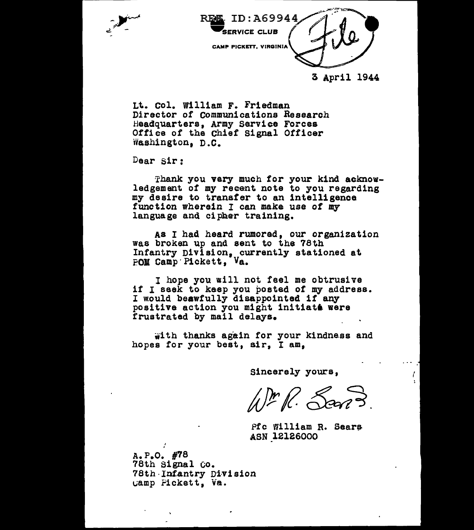



## 3 April 1944

Lt. Col. William F. Friedman Director of communications Research Headquarters, Army Service Forces Office of the Chief Signal Officer Washington, D.C.

Dear Sir:

Thank you very much for your kind acknowledgement of my recent note to you regarding my desire to transfer to an intelligence<br>function wherein I can make use of my<br>language and cipher training.

As I had heard rumored, our organization was broken up and sent to the 78th Infantry Division, currently stationed at POM Camp Pickett, Va.

I hope you will not feel me obtrusive if I seek to keep you posted of my address.<br>I would beawfully disappointed if any positive action you might initiate were frustrated by mail delays.

with thanks again for your kindness and hopes for your best, air, I am,

Sincerely yours,

 $\sqrt{mR}$  Sans

Pfc William R. Sears ASN 12126000

 $A.P. O. *H78*$ 78th signal co. 78th Infantry Division ~amp Fickett, va.